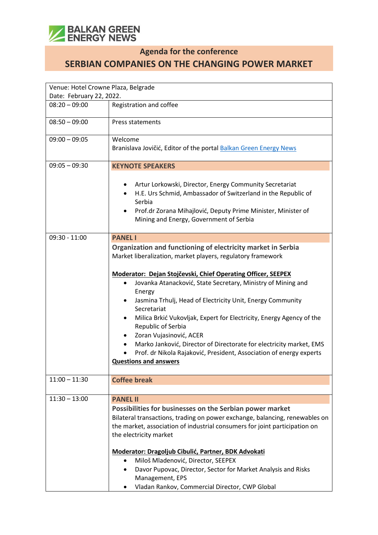

## **Agenda for the conference**

**SERBIAN COMPANIES ON THE CHANGING POWER MARKET**

| Venue: Hotel Crowne Plaza, Belgrade |                                                                                                                                                                                                                                                                                                                                                                                                                                                                                                                            |  |
|-------------------------------------|----------------------------------------------------------------------------------------------------------------------------------------------------------------------------------------------------------------------------------------------------------------------------------------------------------------------------------------------------------------------------------------------------------------------------------------------------------------------------------------------------------------------------|--|
| Date: February 22, 2022.            |                                                                                                                                                                                                                                                                                                                                                                                                                                                                                                                            |  |
| $08:20 - 09:00$                     | Registration and coffee                                                                                                                                                                                                                                                                                                                                                                                                                                                                                                    |  |
| $08:50 - 09:00$                     | Press statements                                                                                                                                                                                                                                                                                                                                                                                                                                                                                                           |  |
| $09:00 - 09:05$                     | Welcome                                                                                                                                                                                                                                                                                                                                                                                                                                                                                                                    |  |
|                                     | Branislava Jovičić, Editor of the portal Balkan Green Energy News                                                                                                                                                                                                                                                                                                                                                                                                                                                          |  |
| $09:05 - 09:30$                     | <b>KEYNOTE SPEAKERS</b>                                                                                                                                                                                                                                                                                                                                                                                                                                                                                                    |  |
|                                     | Artur Lorkowski, Director, Energy Community Secretariat<br>H.E. Urs Schmid, Ambassador of Switzerland in the Republic of<br>Serbia<br>Prof.dr Zorana Mihajlović, Deputy Prime Minister, Minister of<br>Mining and Energy, Government of Serbia                                                                                                                                                                                                                                                                             |  |
| $09:30 - 11:00$                     | <b>PANEL I</b>                                                                                                                                                                                                                                                                                                                                                                                                                                                                                                             |  |
|                                     | Organization and functioning of electricity market in Serbia<br>Market liberalization, market players, regulatory framework                                                                                                                                                                                                                                                                                                                                                                                                |  |
|                                     | Moderator: Dejan Stojčevski, Chief Operating Officer, SEEPEX<br>Jovanka Atanacković, State Secretary, Ministry of Mining and<br>Energy<br>Jasmina Trhulj, Head of Electricity Unit, Energy Community<br>Secretariat<br>Milica Brkić Vukovljak, Expert for Electricity, Energy Agency of the<br>Republic of Serbia<br>Zoran Vujasinović, ACER<br>Marko Janković, Director of Directorate for electricity market, EMS<br>Prof. dr Nikola Rajaković, President, Association of energy experts<br><b>Questions and answers</b> |  |
| $11:00 - 11:30$                     | <b>Coffee break</b>                                                                                                                                                                                                                                                                                                                                                                                                                                                                                                        |  |
| $11:30 - 13:00$                     | <b>PANEL II</b>                                                                                                                                                                                                                                                                                                                                                                                                                                                                                                            |  |
|                                     | Possibilities for businesses on the Serbian power market<br>Bilateral transactions, trading on power exchange, balancing, renewables on<br>the market, association of industrial consumers for joint participation on<br>the electricity market<br>Moderator: Dragoljub Cibulić, Partner, BDK Advokati<br>Miloš Mladenović, Director, SEEPEX<br>$\bullet$<br>Davor Pupovac, Director, Sector for Market Analysis and Risks<br>Management, EPS<br>Vladan Rankov, Commercial Director, CWP Global                            |  |